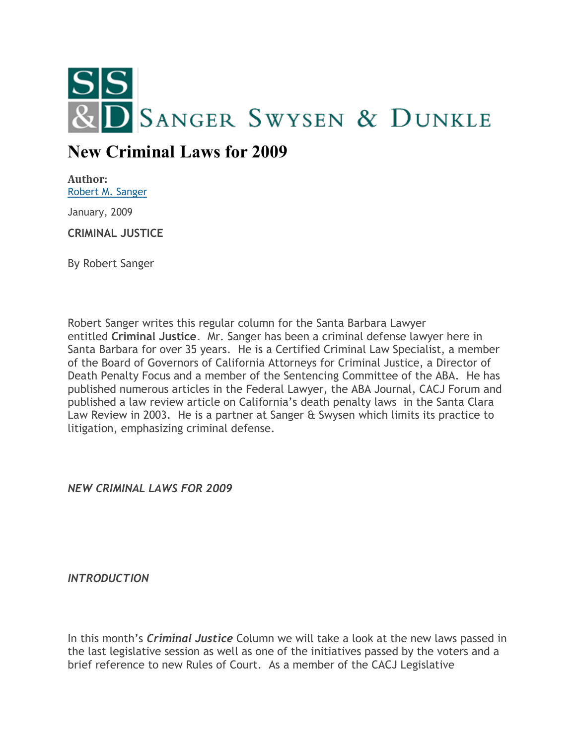

## **New Criminal Laws for 2009**

**Author:** [Robert M. Sanger](http://sangerswysen.com/robert-m-sanger)

January, 2009

**CRIMINAL JUSTICE**

By Robert Sanger

Robert Sanger writes this regular column for the Santa Barbara Lawyer entitled **Criminal Justice**. Mr. Sanger has been a criminal defense lawyer here in Santa Barbara for over 35 years. He is a Certified Criminal Law Specialist, a member of the Board of Governors of California Attorneys for Criminal Justice, a Director of Death Penalty Focus and a member of the Sentencing Committee of the ABA. He has published numerous articles in the Federal Lawyer, the ABA Journal, CACJ Forum and published a law review article on California's death penalty laws in the Santa Clara Law Review in 2003. He is a partner at Sanger & Swysen which limits its practice to litigation, emphasizing criminal defense.

*NEW CRIMINAL LAWS FOR 2009*

*INTRODUCTION*

In this month's *Criminal Justice* Column we will take a look at the new laws passed in the last legislative session as well as one of the initiatives passed by the voters and a brief reference to new Rules of Court. As a member of the CACJ Legislative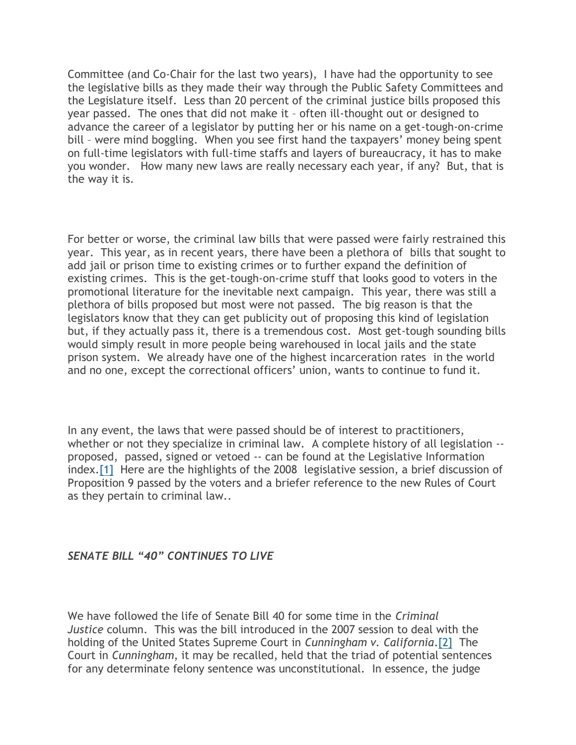Committee (and Co-Chair for the last two years), I have had the opportunity to see the legislative bills as they made their way through the Public Safety Committees and the Legislature itself. Less than 20 percent of the criminal justice bills proposed this year passed. The ones that did not make it – often ill-thought out or designed to advance the career of a legislator by putting her or his name on a get-tough-on-crime bill – were mind boggling. When you see first hand the taxpayers' money being spent on full-time legislators with full-time staffs and layers of bureaucracy, it has to make you wonder. How many new laws are really necessary each year, if any? But, that is the way it is.

For better or worse, the criminal law bills that were passed were fairly restrained this year. This year, as in recent years, there have been a plethora of bills that sought to add jail or prison time to existing crimes or to further expand the definition of existing crimes. This is the get-tough-on-crime stuff that looks good to voters in the promotional literature for the inevitable next campaign. This year, there was still a plethora of bills proposed but most were not passed. The big reason is that the legislators know that they can get publicity out of proposing this kind of legislation but, if they actually pass it, there is a tremendous cost. Most get-tough sounding bills would simply result in more people being warehoused in local jails and the state prison system. We already have one of the highest incarceration rates in the world and no one, except the correctional officers' union, wants to continue to fund it.

In any event, the laws that were passed should be of interest to practitioners, whether or not they specialize in criminal law. A complete history of all legislation -proposed, passed, signed or vetoed -- can be found at the Legislative Information index[.\[1\]](#page-8-0) Here are the highlights of the 2008 legislative session, a brief discussion of Proposition 9 passed by the voters and a briefer reference to the new Rules of Court as they pertain to criminal law..

## *SENATE BILL "40" CONTINUES TO LIVE*

We have followed the life of Senate Bill 40 for some time in the *Criminal Justice* column. This was the bill introduced in the 2007 session to deal with the holding of the United States Supreme Court in *Cunningham v. California*[.\[2\]](#page-8-1) The Court in *Cunningham*, it may be recalled, held that the triad of potential sentences for any determinate felony sentence was unconstitutional. In essence, the judge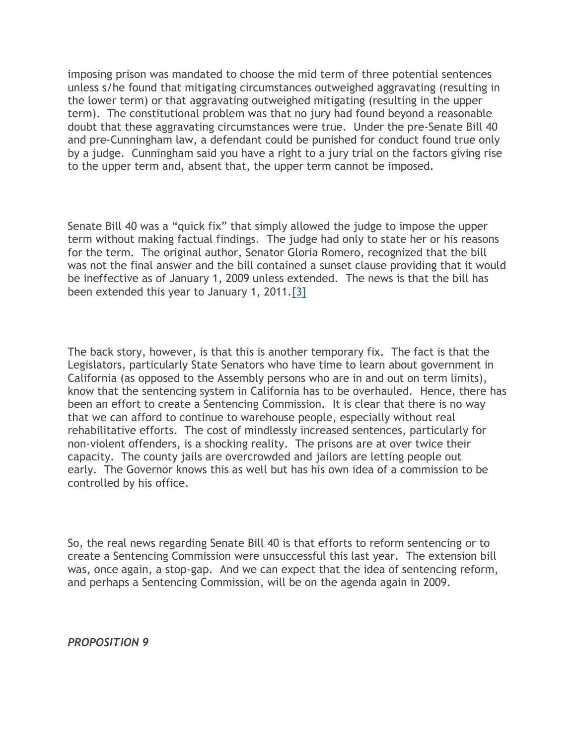imposing prison was mandated to choose the mid term of three potential sentences unless s/he found that mitigating circumstances outweighed aggravating (resulting in the lower term) or that aggravating outweighed mitigating (resulting in the upper term). The constitutional problem was that no jury had found beyond a reasonable doubt that these aggravating circumstances were true. Under the pre-Senate Bill 40 and pre-Cunningham law, a defendant could be punished for conduct found true only by a judge. Cunningham said you have a right to a jury trial on the factors giving rise to the upper term and, absent that, the upper term cannot be imposed.

Senate Bill 40 was a "quick fix" that simply allowed the judge to impose the upper term without making factual findings. The judge had only to state her or his reasons for the term. The original author, Senator Gloria Romero, recognized that the bill was not the final answer and the bill contained a sunset clause providing that it would be ineffective as of January 1, 2009 unless extended. The news is that the bill has been extended this year to January 1, 2011[.\[3\]](#page-9-0)

The back story, however, is that this is another temporary fix. The fact is that the Legislators, particularly State Senators who have time to learn about government in California (as opposed to the Assembly persons who are in and out on term limits), know that the sentencing system in California has to be overhauled. Hence, there has been an effort to create a Sentencing Commission. It is clear that there is no way that we can afford to continue to warehouse people, especially without real rehabilitative efforts. The cost of mindlessly increased sentences, particularly for non-violent offenders, is a shocking reality. The prisons are at over twice their capacity. The county jails are overcrowded and jailors are letting people out early. The Governor knows this as well but has his own idea of a commission to be controlled by his office.

So, the real news regarding Senate Bill 40 is that efforts to reform sentencing or to create a Sentencing Commission were unsuccessful this last year. The extension bill was, once again, a stop-gap. And we can expect that the idea of sentencing reform, and perhaps a Sentencing Commission, will be on the agenda again in 2009.

*PROPOSITION 9*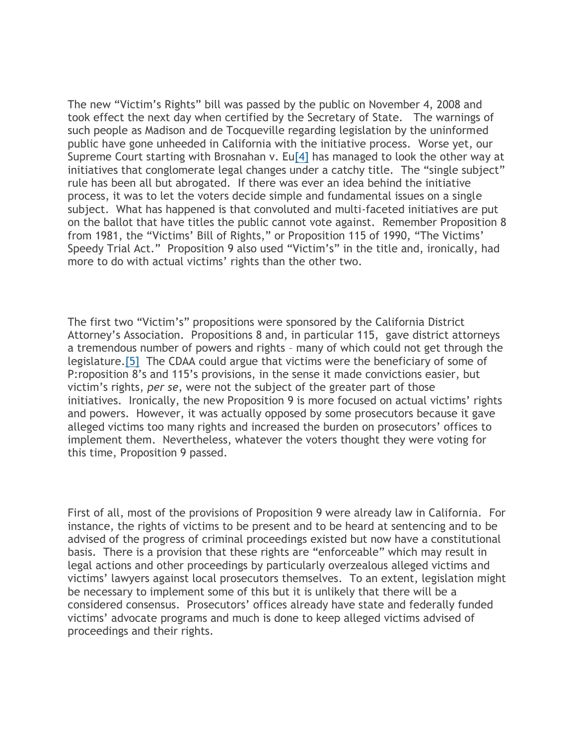The new "Victim's Rights" bill was passed by the public on November 4, 2008 and took effect the next day when certified by the Secretary of State. The warnings of such people as Madison and de Tocqueville regarding legislation by the uninformed public have gone unheeded in California with the initiative process. Worse yet, our Supreme Court starting with Brosnahan v. E[u\[4\]](#page-9-1) has managed to look the other way at initiatives that conglomerate legal changes under a catchy title. The "single subject" rule has been all but abrogated. If there was ever an idea behind the initiative process, it was to let the voters decide simple and fundamental issues on a single subject. What has happened is that convoluted and multi-faceted initiatives are put on the ballot that have titles the public cannot vote against. Remember Proposition 8 from 1981, the "Victims' Bill of Rights," or Proposition 115 of 1990, "The Victims' Speedy Trial Act." Proposition 9 also used "Victim's" in the title and, ironically, had more to do with actual victims' rights than the other two.

The first two "Victim's" propositions were sponsored by the California District Attorney's Association. Propositions 8 and, in particular 115, gave district attorneys a tremendous number of powers and rights – many of which could not get through the legislature[.\[5\]](#page-9-2) The CDAA could argue that victims were the beneficiary of some of P:roposition 8's and 115's provisions, in the sense it made convictions easier, but victim's rights, *per se*, were not the subject of the greater part of those initiatives. Ironically, the new Proposition 9 is more focused on actual victims' rights and powers. However, it was actually opposed by some prosecutors because it gave alleged victims too many rights and increased the burden on prosecutors' offices to implement them. Nevertheless, whatever the voters thought they were voting for this time, Proposition 9 passed.

First of all, most of the provisions of Proposition 9 were already law in California. For instance, the rights of victims to be present and to be heard at sentencing and to be advised of the progress of criminal proceedings existed but now have a constitutional basis. There is a provision that these rights are "enforceable" which may result in legal actions and other proceedings by particularly overzealous alleged victims and victims' lawyers against local prosecutors themselves. To an extent, legislation might be necessary to implement some of this but it is unlikely that there will be a considered consensus. Prosecutors' offices already have state and federally funded victims' advocate programs and much is done to keep alleged victims advised of proceedings and their rights.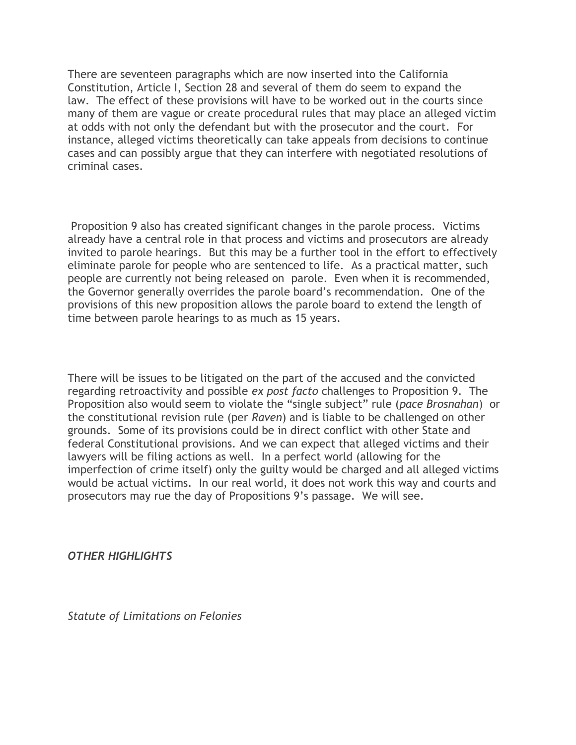There are seventeen paragraphs which are now inserted into the California Constitution, Article I, Section 28 and several of them do seem to expand the law. The effect of these provisions will have to be worked out in the courts since many of them are vague or create procedural rules that may place an alleged victim at odds with not only the defendant but with the prosecutor and the court. For instance, alleged victims theoretically can take appeals from decisions to continue cases and can possibly argue that they can interfere with negotiated resolutions of criminal cases.

Proposition 9 also has created significant changes in the parole process. Victims already have a central role in that process and victims and prosecutors are already invited to parole hearings. But this may be a further tool in the effort to effectively eliminate parole for people who are sentenced to life. As a practical matter, such people are currently not being released on parole. Even when it is recommended, the Governor generally overrides the parole board's recommendation. One of the provisions of this new proposition allows the parole board to extend the length of time between parole hearings to as much as 15 years.

There will be issues to be litigated on the part of the accused and the convicted regarding retroactivity and possible *ex post facto* challenges to Proposition 9. The Proposition also would seem to violate the "single subject" rule (*pace Brosnahan*) or the constitutional revision rule (per *Raven*) and is liable to be challenged on other grounds. Some of its provisions could be in direct conflict with other State and federal Constitutional provisions. And we can expect that alleged victims and their lawyers will be filing actions as well. In a perfect world (allowing for the imperfection of crime itself) only the guilty would be charged and all alleged victims would be actual victims. In our real world, it does not work this way and courts and prosecutors may rue the day of Propositions 9's passage. We will see.

*OTHER HIGHLIGHTS*

*Statute of Limitations on Felonies*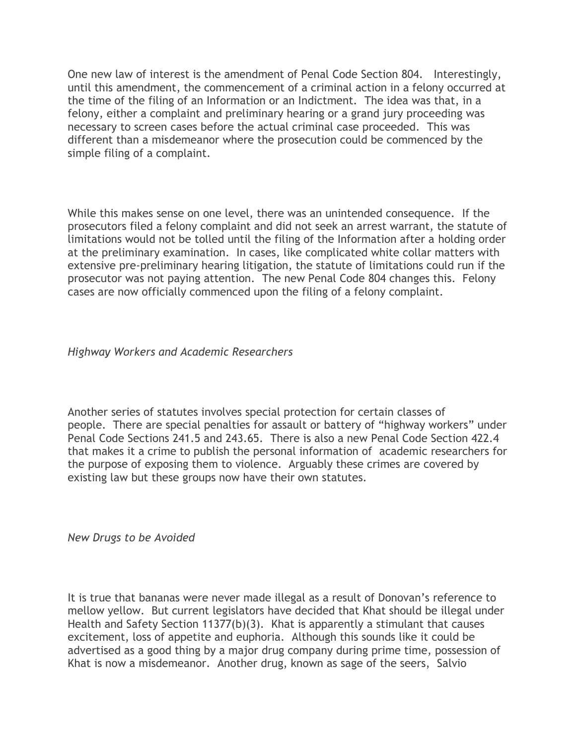One new law of interest is the amendment of Penal Code Section 804. Interestingly, until this amendment, the commencement of a criminal action in a felony occurred at the time of the filing of an Information or an Indictment. The idea was that, in a felony, either a complaint and preliminary hearing or a grand jury proceeding was necessary to screen cases before the actual criminal case proceeded. This was different than a misdemeanor where the prosecution could be commenced by the simple filing of a complaint.

While this makes sense on one level, there was an unintended consequence. If the prosecutors filed a felony complaint and did not seek an arrest warrant, the statute of limitations would not be tolled until the filing of the Information after a holding order at the preliminary examination. In cases, like complicated white collar matters with extensive pre-preliminary hearing litigation, the statute of limitations could run if the prosecutor was not paying attention. The new Penal Code 804 changes this. Felony cases are now officially commenced upon the filing of a felony complaint.

*Highway Workers and Academic Researchers*

Another series of statutes involves special protection for certain classes of people. There are special penalties for assault or battery of "highway workers" under Penal Code Sections 241.5 and 243.65. There is also a new Penal Code Section 422.4 that makes it a crime to publish the personal information of academic researchers for the purpose of exposing them to violence. Arguably these crimes are covered by existing law but these groups now have their own statutes.

*New Drugs to be Avoided*

It is true that bananas were never made illegal as a result of Donovan's reference to mellow yellow. But current legislators have decided that Khat should be illegal under Health and Safety Section 11377(b)(3). Khat is apparently a stimulant that causes excitement, loss of appetite and euphoria. Although this sounds like it could be advertised as a good thing by a major drug company during prime time, possession of Khat is now a misdemeanor. Another drug, known as sage of the seers, Salvio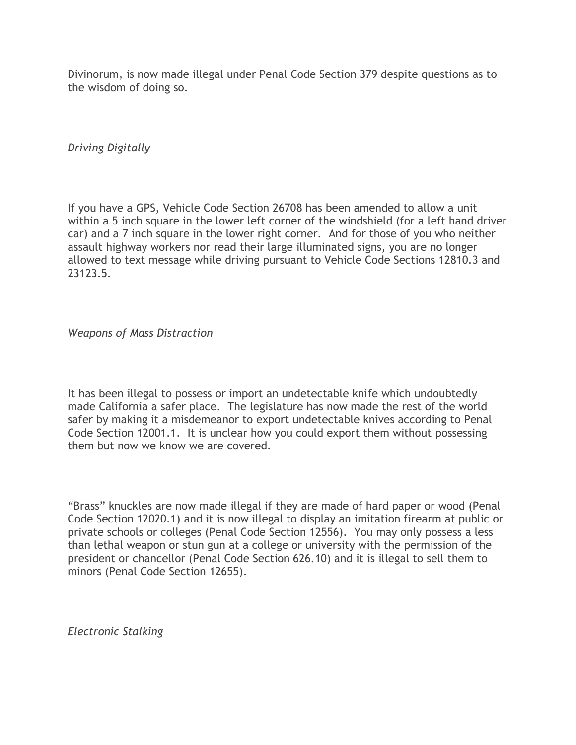Divinorum, is now made illegal under Penal Code Section 379 despite questions as to the wisdom of doing so.

*Driving Digitally*

If you have a GPS, Vehicle Code Section 26708 has been amended to allow a unit within a 5 inch square in the lower left corner of the windshield (for a left hand driver car) and a 7 inch square in the lower right corner. And for those of you who neither assault highway workers nor read their large illuminated signs, you are no longer allowed to text message while driving pursuant to Vehicle Code Sections 12810.3 and 23123.5.

*Weapons of Mass Distraction*

It has been illegal to possess or import an undetectable knife which undoubtedly made California a safer place. The legislature has now made the rest of the world safer by making it a misdemeanor to export undetectable knives according to Penal Code Section 12001.1. It is unclear how you could export them without possessing them but now we know we are covered.

"Brass" knuckles are now made illegal if they are made of hard paper or wood (Penal Code Section 12020.1) and it is now illegal to display an imitation firearm at public or private schools or colleges (Penal Code Section 12556). You may only possess a less than lethal weapon or stun gun at a college or university with the permission of the president or chancellor (Penal Code Section 626.10) and it is illegal to sell them to minors (Penal Code Section 12655).

*Electronic Stalking*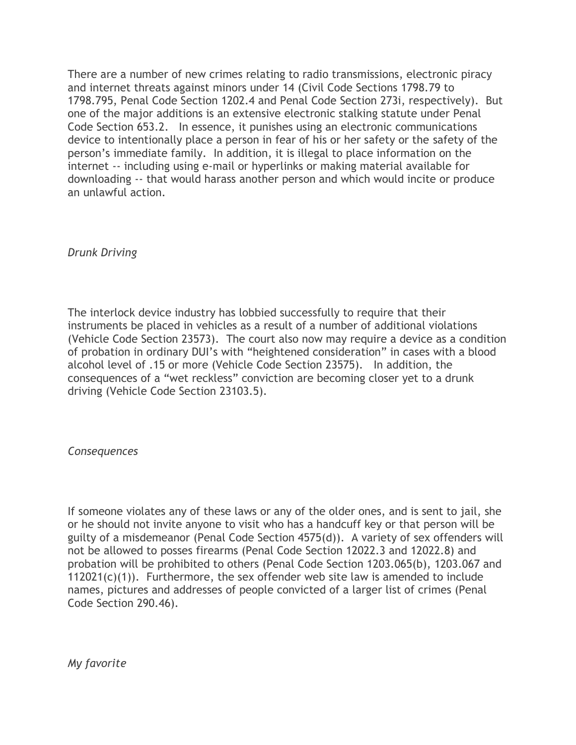There are a number of new crimes relating to radio transmissions, electronic piracy and internet threats against minors under 14 (Civil Code Sections 1798.79 to 1798.795, Penal Code Section 1202.4 and Penal Code Section 273i, respectively). But one of the major additions is an extensive electronic stalking statute under Penal Code Section 653.2. In essence, it punishes using an electronic communications device to intentionally place a person in fear of his or her safety or the safety of the person's immediate family. In addition, it is illegal to place information on the internet -- including using e-mail or hyperlinks or making material available for downloading -- that would harass another person and which would incite or produce an unlawful action.

*Drunk Driving*

The interlock device industry has lobbied successfully to require that their instruments be placed in vehicles as a result of a number of additional violations (Vehicle Code Section 23573). The court also now may require a device as a condition of probation in ordinary DUI's with "heightened consideration" in cases with a blood alcohol level of .15 or more (Vehicle Code Section 23575). In addition, the consequences of a "wet reckless" conviction are becoming closer yet to a drunk driving (Vehicle Code Section 23103.5).

*Consequences*

If someone violates any of these laws or any of the older ones, and is sent to jail, she or he should not invite anyone to visit who has a handcuff key or that person will be guilty of a misdemeanor (Penal Code Section 4575(d)). A variety of sex offenders will not be allowed to posses firearms (Penal Code Section 12022.3 and 12022.8) and probation will be prohibited to others (Penal Code Section 1203.065(b), 1203.067 and  $112021(c)(1)$ ). Furthermore, the sex offender web site law is amended to include names, pictures and addresses of people convicted of a larger list of crimes (Penal Code Section 290.46).

*My favorite*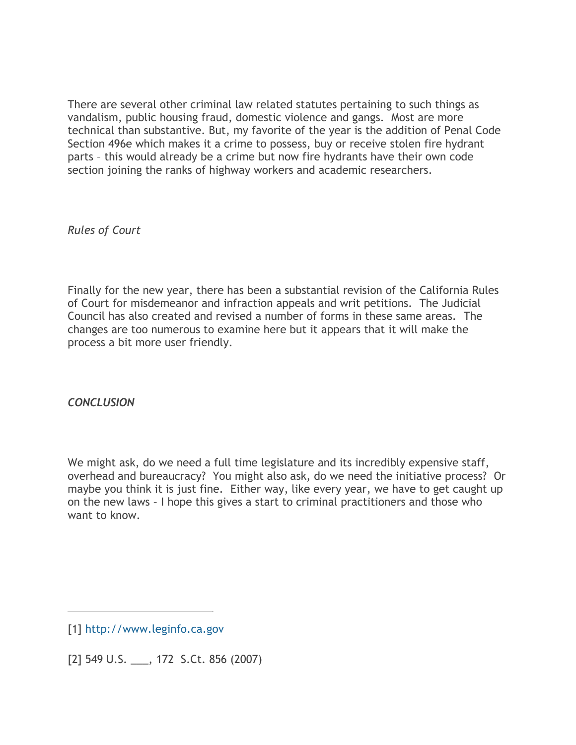There are several other criminal law related statutes pertaining to such things as vandalism, public housing fraud, domestic violence and gangs. Most are more technical than substantive. But, my favorite of the year is the addition of Penal Code Section 496e which makes it a crime to possess, buy or receive stolen fire hydrant parts – this would already be a crime but now fire hydrants have their own code section joining the ranks of highway workers and academic researchers.

*Rules of Court*

Finally for the new year, there has been a substantial revision of the California Rules of Court for misdemeanor and infraction appeals and writ petitions. The Judicial Council has also created and revised a number of forms in these same areas. The changes are too numerous to examine here but it appears that it will make the process a bit more user friendly.

*CONCLUSION*

We might ask, do we need a full time legislature and its incredibly expensive staff, overhead and bureaucracy? You might also ask, do we need the initiative process? Or maybe you think it is just fine. Either way, like every year, we have to get caught up on the new laws – I hope this gives a start to criminal practitioners and those who want to know.

<span id="page-8-1"></span>[2] 549 U.S. \_\_\_, 172 S.Ct. 856 (2007)

<span id="page-8-0"></span><sup>[1]</sup> [http://www.leginfo.ca.gov](http://www.leginfo.ca.gov/)